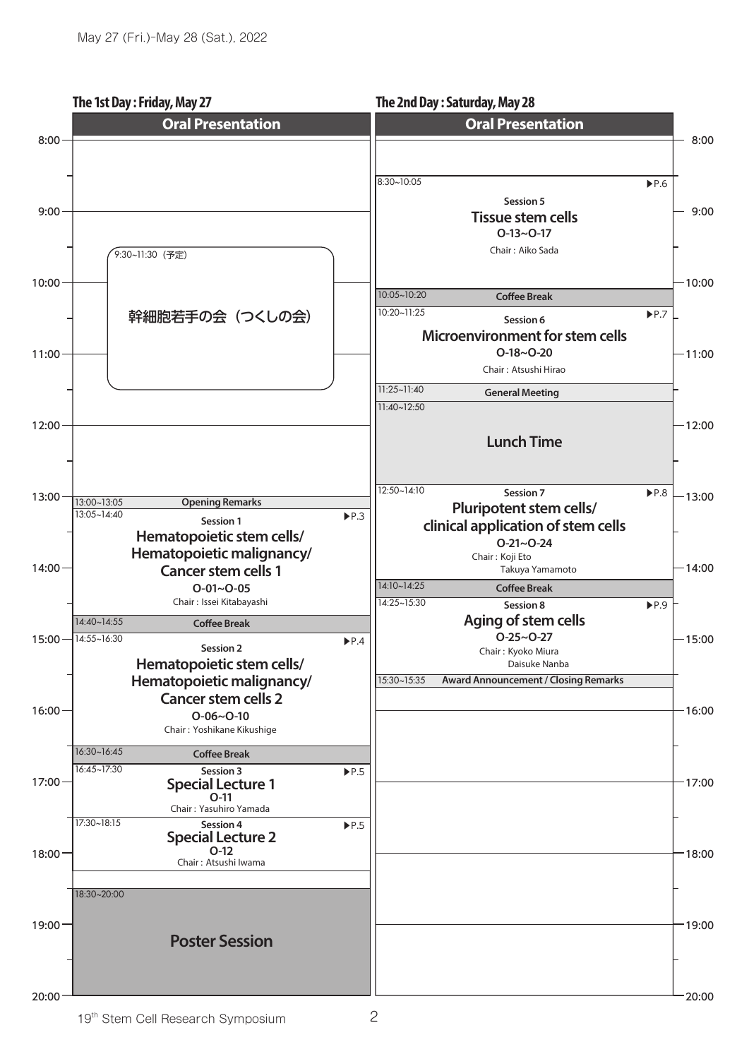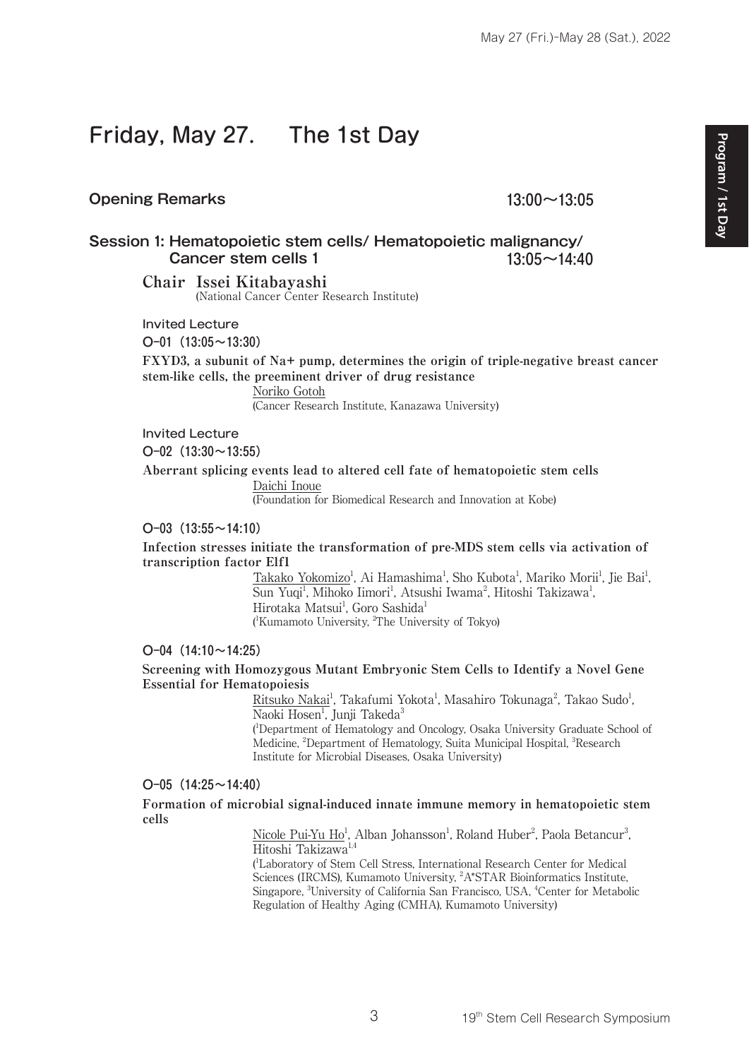# Friday, May 27. The 1st Day

#### **Opening Remarks 13:00~13:05**

**Session 1: Hematopoietic stem cells/ Hematopoietic malignancy/ Cancer stem cells 1 13:05~14:40**

> **Chair Issei Kitabayashi** (National Cancer Center Research Institute)

Invited Lecture

 $O-01$  (13:05 ~ 13:30)

**FXYD3, a subunit of Na+ pump, determines the origin of triple-negative breast cancer stem-like cells, the preeminent driver of drug resistance**

Noriko Gotoh

(Cancer Research Institute, Kanazawa University)

Invited Lecture

 $O-02$  (13:30 $\sim$ 13:55)

**Aberrant splicing events lead to altered cell fate of hematopoietic stem cells** Daichi Inoue

(Foundation for Biomedical Research and Innovation at Kobe)

#### $O-03$  (13:55 ~ 14:10)

**Infection stresses initiate the transformation of pre-MDS stem cells via activation of transcription factor Elf1**

> Takako Yokomizo<sup>1</sup>, Ai Hamashima<sup>1</sup>, Sho Kubota<sup>1</sup>, Mariko Morii<sup>1</sup>, Jie Bai<sup>1</sup>, Sun Yuqi<sup>1</sup>, Mihoko Iimori<sup>1</sup>, Atsushi Iwama<sup>2</sup>, Hitoshi Takizawa<sup>1</sup>, Hirotaka Matsui<sup>1</sup>, Goro Sashida<sup>1</sup> ( 1 Kumamoto University, 2 The University of Tokyo)

#### $O-04$  (14:10 $\sim$ 14:25)

#### **Screening with Homozygous Mutant Embryonic Stem Cells to Identify a Novel Gene Essential for Hematopoiesis**

Ritsuko Nakai<sup>1</sup>, Takafumi Yokota<sup>1</sup>, Masahiro Tokunaga<sup>2</sup>, Takao Sudo<sup>1</sup>, Naoki Hosen<sup>1</sup>, Junji Takeda<sup>3</sup> ( 1 Department of Hematology and Oncology, Osaka University Graduate School of

Medicine, <sup>2</sup>Department of Hematology, Suita Municipal Hospital, <sup>3</sup>Research Institute for Microbial Diseases, Osaka University)

#### $O-05$  (14:25 ~ 14:40)

**Formation of microbial signal-induced innate immune memory in hematopoietic stem cells**

> Nicole Pui-Yu Ho<sup>1</sup>, Alban Johansson<sup>1</sup>, Roland Huber<sup>2</sup>, Paola Betancur<sup>3</sup>, Hitoshi Takizawa<sup>1,4</sup>

( 1 Laboratory of Stem Cell Stress, International Research Center for Medical Sciences (IRCMS), Kumamoto University, <sup>2</sup>A\*STAR Bioinformatics Institute, Singapore, <sup>3</sup>University of California San Francisco, USA, <sup>4</sup>Center for Metabolic Regulation of Healthy Aging (CMHA), Kumamoto University)

3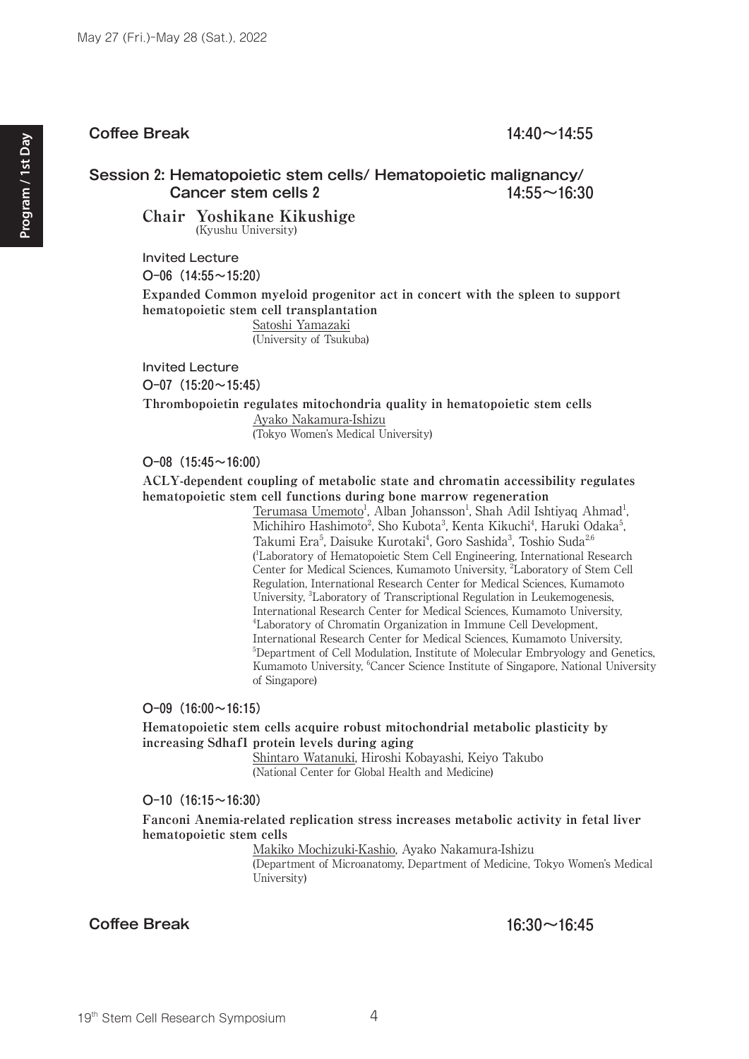#### **Coffee Break 14:40~14:55**

#### **Session 2: Hematopoietic stem cells/ Hematopoietic malignancy/ Cancer stem cells 2** 14:55~16:30

**Chair Yoshikane Kikushige** (Kyushu University)

Invited Lecture

 $O-06$  (14:55 ~ 15:20)

**Expanded Common myeloid progenitor act in concert with the spleen to support hematopoietic stem cell transplantation**

> Satoshi Yamazaki (University of Tsukuba)

Invited Lecture

O-07  $(15:20 \sim 15:45)$ 

**Thrombopoietin regulates mitochondria quality in hematopoietic stem cells**

Ayako Nakamura-Ishizu (Tokyo Women's Medical University)

#### O-08 $(15:45 \sim 16:00)$

**ACLY-dependent coupling of metabolic state and chromatin accessibility regulates hematopoietic stem cell functions during bone marrow regeneration**

> Terumasa Umemoto<sup>1</sup>, Alban Johansson<sup>1</sup>, Shah Adil Ishtiyaq Ahmad<sup>1</sup>, Michihiro Hashimoto<sup>2</sup>, Sho Kubota<sup>3</sup>, Kenta Kikuchi<sup>4</sup>, Haruki Odaka<sup>5</sup>, Takumi Era<sup>5</sup>, Daisuke Kurotaki<sup>4</sup>, Goro Sashida<sup>3</sup>, Toshio Suda<sup>2,6</sup> ( 1 Laboratory of Hematopoietic Stem Cell Engineering, International Research Center for Medical Sciences, Kumamoto University, <sup>2</sup>Laboratory of Stem Cell Regulation, International Research Center for Medical Sciences, Kumamoto University, <sup>3</sup>Laboratory of Transcriptional Regulation in Leukemogenesis, International Research Center for Medical Sciences, Kumamoto University, 4 Laboratory of Chromatin Organization in Immune Cell Development, International Research Center for Medical Sciences, Kumamoto University, 5 <sup>5</sup>Department of Cell Modulation, Institute of Molecular Embryology and Genetics, Kumamoto University, <sup>6</sup>Cancer Science Institute of Singapore, National University of Singapore)

#### O-09 $(16:00 \sim 16:15)$

**Hematopoietic stem cells acquire robust mitochondrial metabolic plasticity by increasing Sdhaf1 protein levels during aging**

> Shintaro Watanuki, Hiroshi Kobayashi, Keiyo Takubo (National Center for Global Health and Medicine)

#### $O-10$  (16:15 $\sim$ 16:30)

#### **Fanconi Anemia-related replication stress increases metabolic activity in fetal liver hematopoietic stem cells**

Makiko Mochizuki-Kashio, Ayako Nakamura-Ishizu

(Department of Microanatomy, Department of Medicine, Tokyo Women's Medical University)

**Coffee Break 16:30~16:45**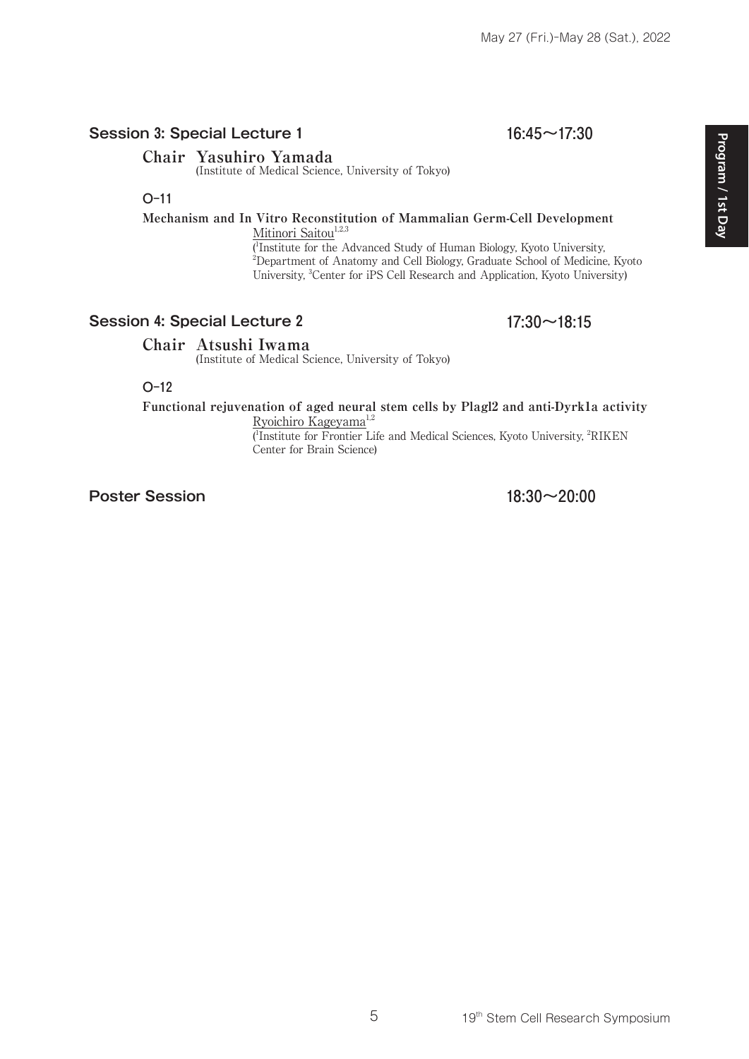### **Session 3: Special Lecture 1** 16:45~17:30

#### **Chair Yasuhiro Yamada**

(Institute of Medical Science, University of Tokyo)

#### O-11

#### **Mechanism and In Vitro Reconstitution of Mammalian Germ-Cell Development** Mitinori Saitou $1,2,3$

( 1 Institute for the Advanced Study of Human Biology, Kyoto University, 2 Department of Anatomy and Cell Biology, Graduate School of Medicine, Kyoto University, <sup>3</sup>Center for iPS Cell Research and Application, Kyoto University)

#### **Session 4: Special Lecture 2** 17:30~18:15

#### **Chair Atsushi Iwama**

(Institute of Medical Science, University of Tokyo)

#### O-12

## **Functional rejuvenation of aged neural stem cells by Plagl2 and anti-Dyrk1a activity**

Ryoichiro Kageyama<sup>1,2</sup>

( 1 Institute for Frontier Life and Medical Sciences, Kyoto University, 2 RIKEN Center for Brain Science)

**Poster Session** 18:30~20:00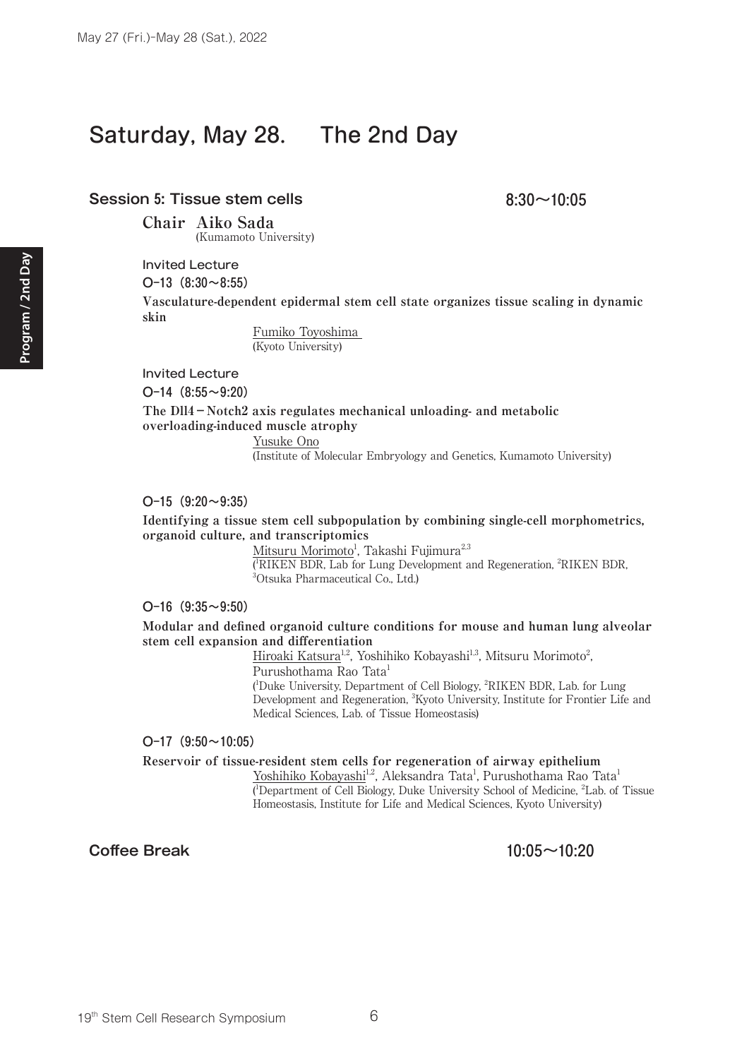## Saturday, May 28. The 2nd Day

#### **Session 5: Tissue stem cells** 8:30~10:05

**Chair Aiko Sada** (Kumamoto University)

Invited Lecture

O-13 $(8:30~8:55)$ 

**Vasculature-dependent epidermal stem cell state organizes tissue scaling in dynamic skin**

> Fumiko Toyoshima (Kyoto University)

Invited Lecture

 $O-14$  (8:55~9:20)

**The Dll4-Notch2 axis regulates mechanical unloading- and metabolic overloading-induced muscle atrophy**

Yusuke Ono

(Institute of Molecular Embryology and Genetics, Kumamoto University)

O-15 $(9:20 \sim 9:35)$ 

**Identifying a tissue stem cell subpopulation by combining single-cell morphometrics, organoid culture, and transcriptomics**

> <u>Mitsuru Morimoto<sup>1</sup>, Takashi Fujimura<sup>2,3</sup></u> ( $RIKEN BDR$ , Lab for Lung Development and Regeneration,  ${}^{2}RIKEN BDR$ ,  ${}^{3}O$ teuka Pharmaceutical Co. Ltd.) Otsuka Pharmaceutical Co., Ltd.)

#### $O-16$  (9:35~9:50)

**Modular and defined organoid culture conditions for mouse and human lung alveolar stem cell expansion and differentiation**

> Hiroaki Katsura<sup>1,2</sup>, Yoshihiko Kobayashi<sup>1,3</sup>, Mitsuru Morimoto<sup>2</sup>, Purushothama Rao Tata<sup>1</sup> ( 1 Duke University, Department of Cell Biology, 2 RIKEN BDR, Lab. for Lung

Development and Regeneration, <sup>3</sup>Kyoto University, Institute for Frontier Life and Medical Sciences, Lab. of Tissue Homeostasis)

#### $O-17$  (9:50 $\sim$ 10:05)

**Reservoir of tissue-resident stem cells for regeneration of airway epithelium**

Yoshihiko Kobayashi<sup>1,2</sup>, Aleksandra Tata<sup>1</sup>, Purushothama Rao Tata<sup>1</sup> ( 1 Department of Cell Biology, Duke University School of Medicine, <sup>2</sup> Lab. of Tissue Homeostasis, Institute for Life and Medical Sciences, Kyoto University)

#### **Coffee Break 10:05~10:20**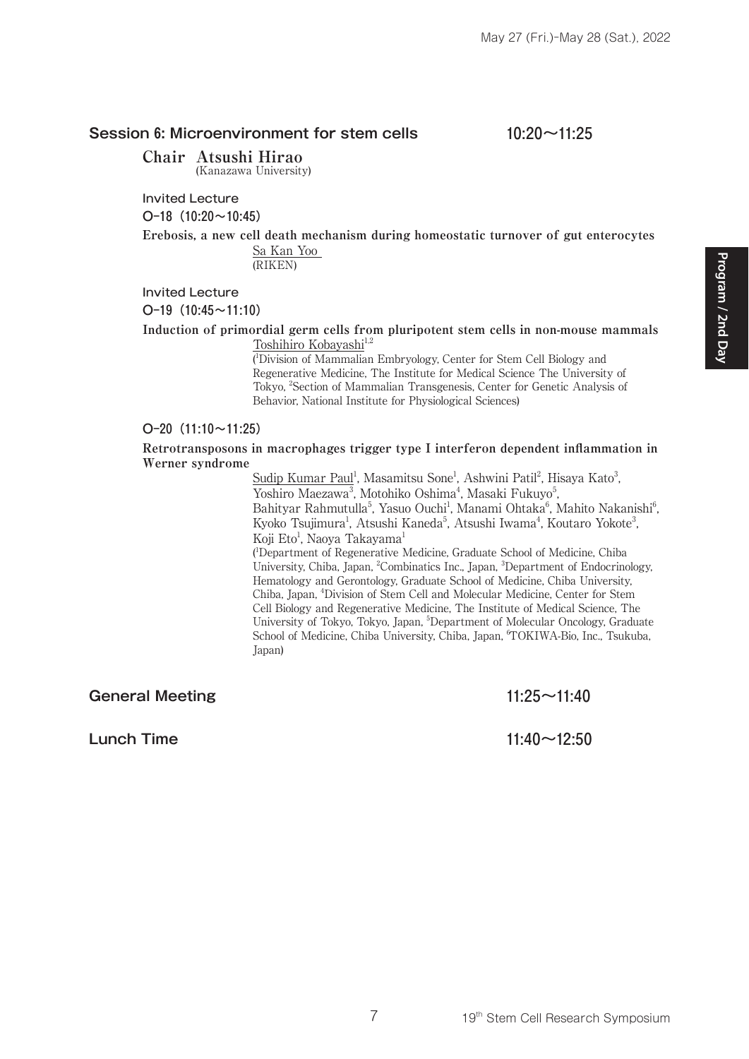#### **Session 6: Microenvironment for stem cells 10:20~11:25**

Invited Lecture

 $O-18$  (10:20 $\sim$ 10:45)

**Erebosis, a new cell death mechanism during homeostatic turnover of gut enterocytes** Sa Kan Yoo

(RIKEN)

Invited Lecture

O-19 $(10:45 \sim 11:10)$ 

**Induction of primordial germ cells from pluripotent stem cells in non-mouse mammals** Toshihiro Kobayashi<sup>1,2</sup>

> ( 1 Division of Mammalian Embryology, Center for Stem Cell Biology and Regenerative Medicine, The Institute for Medical Science The University of Tokyo, <sup>2</sup>Section of Mammalian Transgenesis, Center for Genetic Analysis of Behavior, National Institute for Physiological Sciences)

#### $O-20$  (11:10 $\sim$ 11:25)

**Retrotransposons in macrophages trigger type I interferon dependent inflammation in Werner syndrome**

Sudip Kumar Paul<sup>1</sup>, Masamitsu Sone<sup>1</sup>, Ashwini Patil<sup>2</sup>, Hisaya Kato<sup>3</sup>, Yoshiro Maezawa<sup>3</sup>, Motohiko Oshima<sup>4</sup>, Masaki Fukuyo<sup>5</sup>, Bahityar Rahmutulla<sup>5</sup>, Yasuo Ouchi<sup>1</sup>, Manami Ohtaka<sup>6</sup>, Mahito Nakanishi<sup>6</sup>, Kyoko Tsujimura<sup>1</sup>, Atsushi Kaneda<sup>5</sup>, Atsushi Iwama<sup>4</sup>, Koutaro Yokote<sup>3</sup>, Koji Eto<sup>1</sup>, Naoya Takayama<sup>1</sup>

( 1 Department of Regenerative Medicine, Graduate School of Medicine, Chiba University, Chiba, Japan, <sup>2</sup>Combinatics Inc., Japan, <sup>3</sup>Department of Endocrinology, Hematology and Gerontology, Graduate School of Medicine, Chiba University, Chiba, Japan, 4 Division of Stem Cell and Molecular Medicine, Center for Stem Cell Biology and Regenerative Medicine, The Institute of Medical Science, The University of Tokyo, Tokyo, Japan, <sup>5</sup>Department of Molecular Oncology, Graduate School of Medicine, Chiba University, Chiba, Japan, <sup>6</sup>TOKIWA-Bio, Inc., Tsukuba, Japan)

**General Meeting 11:25~11:40**

**Lunch Time** 11:40~12:50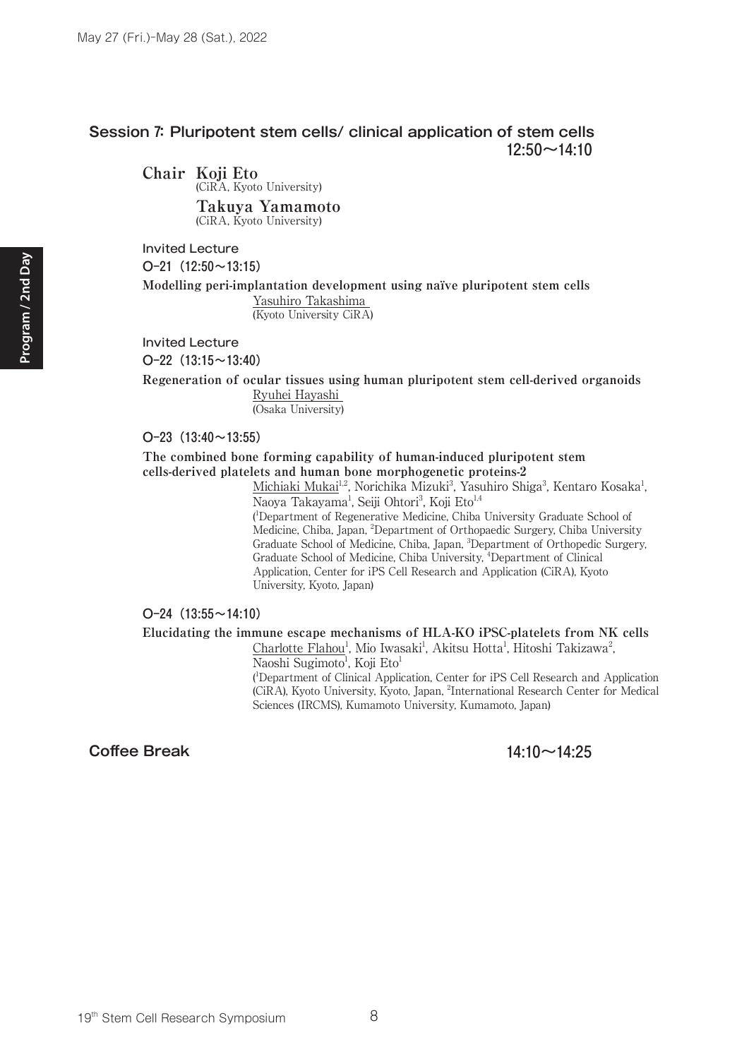#### **Session 7: Pluripotent stem cells/ clinical application of stem cells 12:50~14:10**

**Chair Koji Eto** (CiRA, Kyoto University)  **Takuya Yamamoto**

(CiRA, Kyoto University)

Invited Lecture

 $O-21$  (12:50 $\sim$ 13:15)

**Modelling peri-implantation development using naïve pluripotent stem cells** Yasuhiro Takashima

(Kyoto University CiRA)

Invited Lecture

 $O-22$  (13:15 $\sim$ 13:40)

**Regeneration of ocular tissues using human pluripotent stem cell-derived organoids** Ryuhei Hayashi

(Osaka University)

University, Kyoto, Japan)

 $O-23$  (13:40 $\sim$ 13:55)

**The combined bone forming capability of human-induced pluripotent stem cells-derived platelets and human bone morphogenetic proteins-2**

> Michiaki Mukai<sup>1,2</sup>, Norichika Mizuki<sup>3</sup>, Yasuhiro Shiga<sup>3</sup>, Kentaro Kosaka<sup>1</sup>, Naoya Takayama<sup>1</sup>, Seiji Ohtori<sup>3</sup>, Koji Eto<sup>1,4</sup> ( 1 Department of Regenerative Medicine, Chiba University Graduate School of Medicine, Chiba, Japan, <sup>2</sup>Department of Orthopaedic Surgery, Chiba University Graduate School of Medicine, Chiba, Japan, <sup>3</sup>Department of Orthopedic Surgery, Graduate School of Medicine, Chiba University, <sup>4</sup>Department of Clinical Application, Center for iPS Cell Research and Application (CiRA), Kyoto

 $O-24$  (13:55 ~ 14:10)

**Elucidating the immune escape mechanisms of HLA-KO iPSC-platelets from NK cells**

Charlotte Flahou<sup>1</sup>, Mio Iwasaki<sup>1</sup>, Akitsu Hotta<sup>1</sup>, Hitoshi Takizawa<sup>2</sup>, Naoshi Sugimoto<sup>1</sup>, Koji Eto<sup>1</sup>

( 1 Department of Clinical Application, Center for iPS Cell Research and Application (CiRA), Kyoto University, Kyoto, Japan, <sup>2</sup>International Research Center for Medical Sciences (IRCMS), Kumamoto University, Kumamoto, Japan)

#### **Coffee Break 14:10~14:25**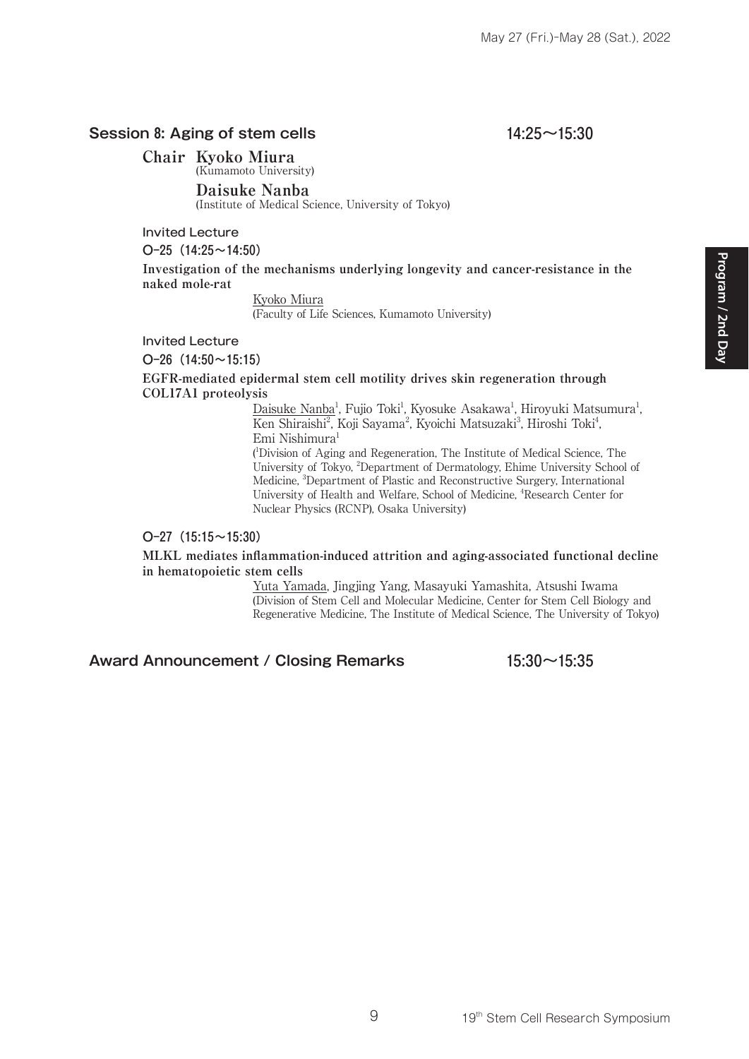#### **Session 8: Aging of stem cells 14:25~15:30**

**Chair Kyoko Miura** (Kumamoto University)

 **Daisuke Nanba**

(Institute of Medical Science, University of Tokyo)

Invited Lecture

 $O-25$  (14:25~14:50)

**Investigation of the mechanisms underlying longevity and cancer-resistance in the naked mole-rat**

Kyoko Miura

(Faculty of Life Sciences, Kumamoto University)

#### Invited Lecture

O-26 $(14:50 \sim 15:15)$ 

**EGFR-mediated epidermal stem cell motility drives skin regeneration through COL17A1 proteolysis**

> Daisuke Nanba<sup>1</sup>, Fujio Toki<sup>1</sup>, Kyosuke Asakawa<sup>1</sup>, Hiroyuki Matsumura<sup>1</sup>, Ken Shiraishi<sup>2</sup>, Koji Sayama<sup>2</sup>, Kyoichi Matsuzaki<sup>3</sup>, Hiroshi Toki<sup>4</sup>, Emi Nishimura<sup>1</sup>

> ( 1 Division of Aging and Regeneration, The Institute of Medical Science, The University of Tokyo, <sup>2</sup>Department of Dermatology, Ehime University School of Medicine, <sup>3</sup>Department of Plastic and Reconstructive Surgery, International University of Health and Welfare, School of Medicine, <sup>4</sup>Research Center for Nuclear Physics (RCNP), Osaka University)

#### O-27 (15:15~15:30)

#### **MLKL mediates inflammation-induced attrition and aging-associated functional decline in hematopoietic stem cells**

Yuta Yamada, Jingjing Yang, Masayuki Yamashita, Atsushi Iwama (Division of Stem Cell and Molecular Medicine, Center for Stem Cell Biology and Regenerative Medicine, The Institute of Medical Science, The University of Tokyo)

#### **Award Announcement / Closing Remarks 15:30~15:35**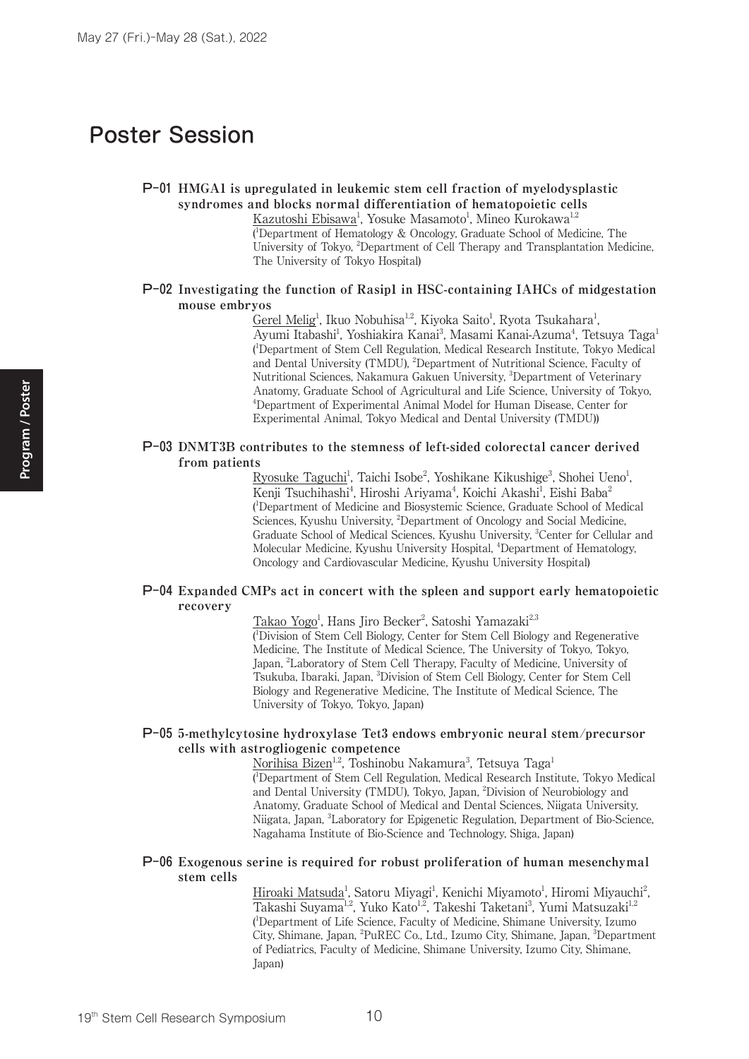## Poster Session

#### P-01 **HMGA1 is upregulated in leukemic stem cell fraction of myelodysplastic syndromes and blocks normal differentiation of hematopoietic cells**

Kazutoshi Ebisawa<sup>1</sup>, Yosuke Masamoto<sup>1</sup>, Mineo Kurokawa<sup>1,2</sup> ( 1 Department of Hematology & Oncology, Graduate School of Medicine, The University of Tokyo, <sup>2</sup>Department of Cell Therapy and Transplantation Medicine, The University of Tokyo Hospital)

#### P-02 **Investigating the function of Rasip1 in HSC-containing IAHCs of midgestation mouse embryos**

Gerel Melig<sup>1</sup>, Ikuo Nobuhisa<sup>1,2</sup>, Kiyoka Saito<sup>1</sup>, Ryota Tsukahara<sup>1</sup>, Ayumi Itabashi<sup>1</sup>, Yoshiakira Kanai<sup>3</sup>, Masami Kanai-Azuma<sup>4</sup>, Tetsuya Taga<sup>1</sup> ( 1 Department of Stem Cell Regulation, Medical Research Institute, Tokyo Medical and Dental University (TMDU), <sup>2</sup>Department of Nutritional Science, Faculty of Nutritional Sciences, Nakamura Gakuen University, <sup>3</sup>Department of Veterinary Anatomy, Graduate School of Agricultural and Life Science, University of Tokyo, 4 Department of Experimental Animal Model for Human Disease, Center for Experimental Animal, Tokyo Medical and Dental University (TMDU))

#### P-03 **DNMT3B contributes to the stemness of left-sided colorectal cancer derived from patients**

Ryosuke Taguchi<sup>1</sup>, Taichi Isobe<sup>2</sup>, Yoshikane Kikushige<sup>3</sup>, Shohei Ueno<sup>1</sup>, Kenji Tsuchihashi<sup>4</sup>, Hiroshi Ariyama<sup>4</sup>, Koichi Akashi<sup>1</sup>, Eishi Baba<sup>2</sup> ( 1 Department of Medicine and Biosystemic Science, Graduate School of Medical Sciences, Kyushu University, <sup>2</sup>Department of Oncology and Social Medicine, Graduate School of Medical Sciences, Kyushu University, 3 Center for Cellular and Molecular Medicine, Kyushu University Hospital, <sup>4</sup>Department of Hematology, Oncology and Cardiovascular Medicine, Kyushu University Hospital)

#### P-04 **Expanded CMPs act in concert with the spleen and support early hematopoietic recovery**

Takao Yogo<sup>1</sup>, Hans Jiro Becker<sup>2</sup>, Satoshi Yamazaki<sup>2,3</sup>

( 1 Division of Stem Cell Biology, Center for Stem Cell Biology and Regenerative Medicine, The Institute of Medical Science, The University of Tokyo, Tokyo, Japan, 2 Laboratory of Stem Cell Therapy, Faculty of Medicine, University of Tsukuba, Ibaraki, Japan, 3Division of Stem Cell Biology, Center for Stem Cell Biology and Regenerative Medicine, The Institute of Medical Science, The University of Tokyo, Tokyo, Japan)

#### P-05 **5-methylcytosine hydroxylase Tet3 endows embryonic neural stem/precursor cells with astrogliogenic competence**

<u>Norihisa Bizen<sup>1,2</sup>,</u> Toshinobu Nakamura<sup>3</sup>, Tetsuya Taga<sup>1</sup> ( 1 Department of Stem Cell Regulation, Medical Research Institute, Tokyo Medical and Dental University (TMDU), Tokyo, Japan, 2 Division of Neurobiology and Anatomy, Graduate School of Medical and Dental Sciences, Niigata University, Niigata, Japan, <sup>3</sup>Laboratory for Epigenetic Regulation, Department of Bio-Science, Nagahama Institute of Bio-Science and Technology, Shiga, Japan)

#### P-06 **Exogenous serine is required for robust proliferation of human mesenchymal stem cells**

Hiroaki Matsuda<sup>1</sup>, Satoru Miyagi<sup>1</sup>, Kenichi Miyamoto<sup>1</sup>, Hiromi Miyauchi<sup>2</sup>, Takashi Suyama<sup>1,2</sup>, Yuko Kato<sup>1,2</sup>, Takeshi Taketani<sup>3</sup>, Yumi Matsuzaki<sup>1,2</sup> ( 1 Department of Life Science, Faculty of Medicine, Shimane University, Izumo City, Shimane, Japan, <sup>2</sup>PuREC Co., Ltd., Izumo City, Shimane, Japan, <sup>3</sup>Department of Pediatrics, Faculty of Medicine, Shimane University, Izumo City, Shimane, Japan)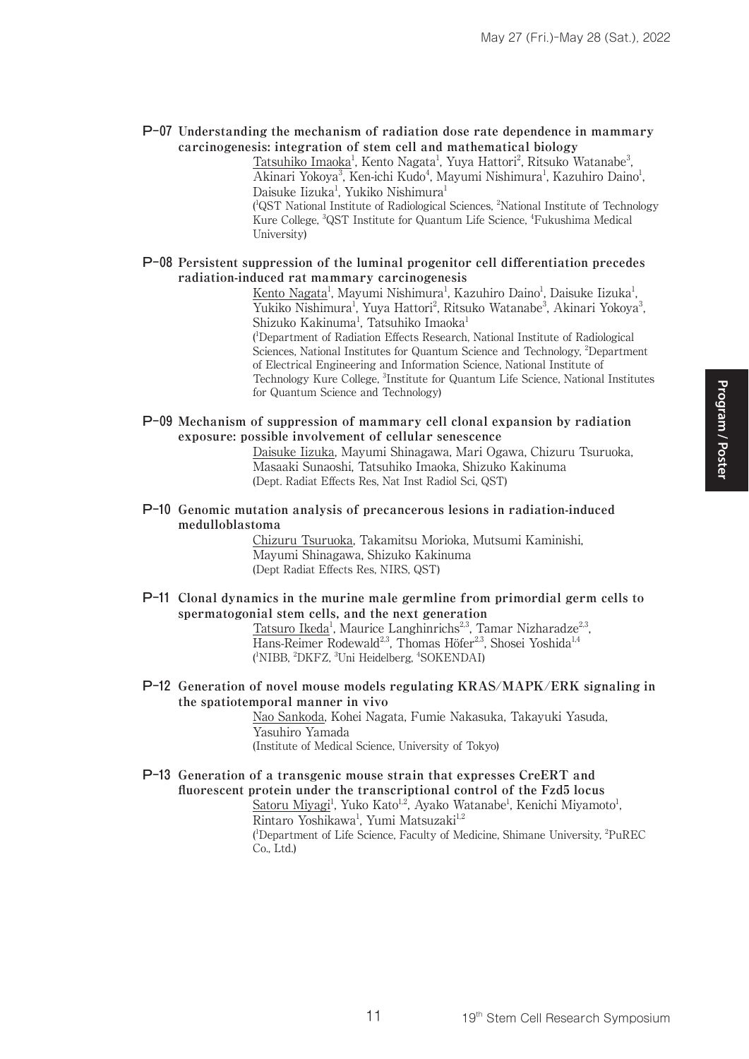#### P-07 **Understanding the mechanism of radiation dose rate dependence in mammary carcinogenesis: integration of stem cell and mathematical biology**

<u>Tatsuhiko Imaoka<sup>1</sup>, Kento Nagata<sup>1</sup>, Yuya Hattori<sup>2</sup>, Ritsuko Watanabe<sup>3</sup>,</u> Akinari Yokoya<sup>3</sup>, Ken-ichi Kudo<sup>4</sup>, Mayumi Nishimura<sup>1</sup>, Kazuhiro Daino<sup>1</sup>, Daisuke Iizuka<sup>1</sup>, Yukiko Nishimura<sup>1</sup> ( 1 QST National Institute of Radiological Sciences, 2 National Institute of Technology Kure College, <sup>3</sup>QST Institute for Quantum Life Science, <sup>4</sup>Fukushima Medical

#### P-08 **Persistent suppression of the luminal progenitor cell differentiation precedes radiation-induced rat mammary carcinogenesis**

University)

Kento Nagata<sup>1</sup>, Mayumi Nishimura<sup>1</sup>, Kazuhiro Daino<sup>1</sup>, Daisuke Iizuka<sup>1</sup>, Yukiko Nishimura<sup>1</sup>, Yuya Hattori<sup>2</sup>, Ritsuko Watanabe<sup>3</sup>, Akinari Yokoya<sup>3</sup>, Shizuko Kakinuma<sup>1</sup>, Tatsuhiko Imaoka<sup>1</sup>

( 1 Department of Radiation Effects Research, National Institute of Radiological Sciences, National Institutes for Quantum Science and Technology, <sup>2</sup>Department of Electrical Engineering and Information Science, National Institute of Technology Kure College, <sup>3</sup>Institute for Quantum Life Science, National Institutes for Quantum Science and Technology)

P-09 **Mechanism of suppression of mammary cell clonal expansion by radiation exposure: possible involvement of cellular senescence**

Daisuke Iizuka, Mayumi Shinagawa, Mari Ogawa, Chizuru Tsuruoka, Masaaki Sunaoshi, Tatsuhiko Imaoka, Shizuko Kakinuma (Dept. Radiat Effects Res, Nat Inst Radiol Sci, QST)

P-10 **Genomic mutation analysis of precancerous lesions in radiation-induced medulloblastoma**

> Chizuru Tsuruoka, Takamitsu Morioka, Mutsumi Kaminishi, Mayumi Shinagawa, Shizuko Kakinuma (Dept Radiat Effects Res, NIRS, QST)

P-11 **Clonal dynamics in the murine male germline from primordial germ cells to spermatogonial stem cells, and the next generation**

Tatsuro Ikeda<sup>1</sup>, Maurice Langhinrichs<sup>2,3</sup>, Tamar Nizharadze<sup>2,3</sup>, Hans-Reimer Rodewald<sup>2,3</sup>, Thomas Höfer<sup>2,3</sup>, Shosei Yoshida<sup>1,4</sup> (<sup>1</sup>NIBB, <sup>2</sup>DKFZ, <sup>3</sup>Uni Heidelberg, <sup>4</sup>SOKENDAI)

P-12 **Generation of novel mouse models regulating KRAS/MAPK/ERK signaling in the spatiotemporal manner in vivo**

> Nao Sankoda, Kohei Nagata, Fumie Nakasuka, Takayuki Yasuda, Yasuhiro Yamada (Institute of Medical Science, University of Tokyo)

P-13 **Generation of a transgenic mouse strain that expresses CreERT and fluorescent protein under the transcriptional control of the Fzd5 locus** Satoru Miyagi<sup>1</sup>, Yuko Kato<sup>1,2</sup>, Ayako Watanabe<sup>1</sup>, Kenichi Miyamoto<sup>1</sup>, Rintaro Yoshikawa<sup>1</sup>, Yumi Matsuzaki<sup>1,2</sup> <sup>1</sup>Department of Life Science, Faculty of Medicine, Shimane University, <sup>2</sup>PuREC Co., Ltd.)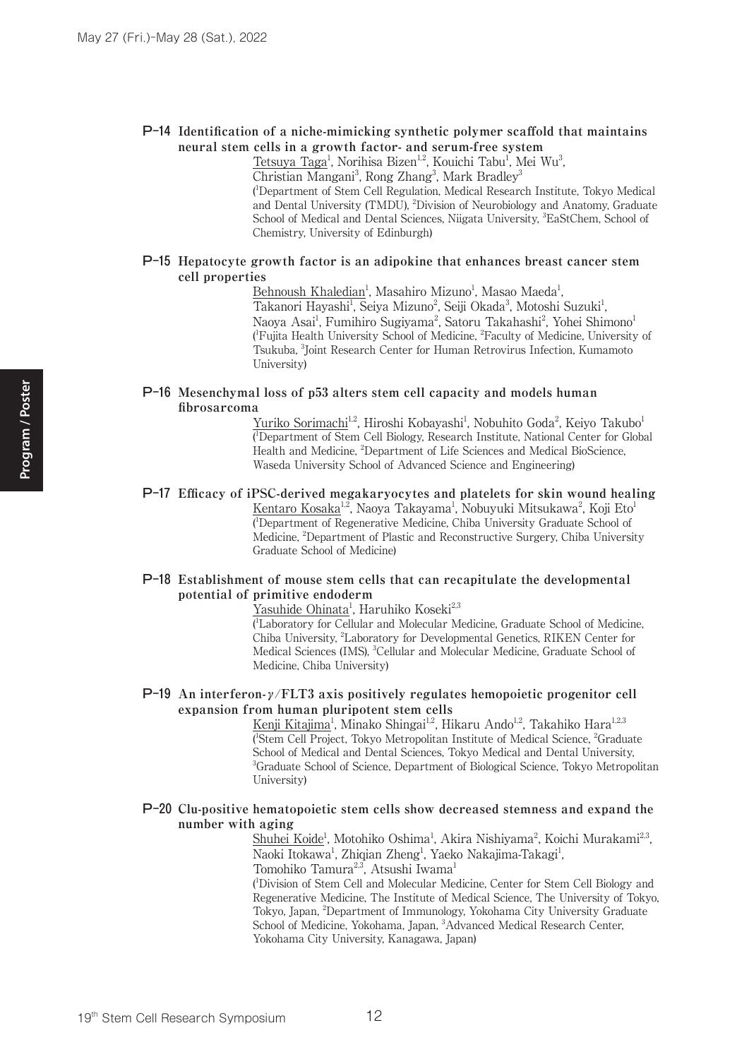#### P-14 **Identification of a niche-mimicking synthetic polymer scaffold that maintains neural stem cells in a growth factor- and serum-free system**

Tetsuya Taga<sup>1</sup>, Norihisa Bizen<sup>1,2</sup>, Kouichi Tabu<sup>1</sup>, Mei Wu<sup>3</sup>,

Christian Mangani<sup>3</sup>, Rong Zhang<sup>3</sup>, Mark Bradley<sup>3</sup>

( 1 Department of Stem Cell Regulation, Medical Research Institute, Tokyo Medical and Dental University (TMDU), <sup>2</sup>Division of Neurobiology and Anatomy, Graduate School of Medical and Dental Sciences, Niigata University, <sup>3</sup>EaStChem, School of Chemistry, University of Edinburgh)

#### P-15 **Hepatocyte growth factor is an adipokine that enhances breast cancer stem cell properties**

Behnoush Khaledian<sup>1</sup>, Masahiro Mizuno<sup>1</sup>, Masao Maeda<sup>1</sup>,

Takanori Hayashi<sup>1</sup>, Seiya Mizuno<sup>2</sup>, Seiji Okada<sup>3</sup>, Motoshi Suzuki<sup>1</sup>, Naoya Asai<sup>1</sup>, Fumihiro Sugiyama<sup>2</sup>, Satoru Takahashi<sup>2</sup>, Yohei Shimono<sup>1</sup> ( 1 Fujita Health University School of Medicine, 2 Faculty of Medicine, University of Tsukuba, 3 Joint Research Center for Human Retrovirus Infection, Kumamoto University)

#### P-16 **Mesenchymal loss of p53 alters stem cell capacity and models human fibrosarcoma**

Yuriko Sorimachi<sup>1,2</sup>, Hiroshi Kobayashi<sup>1</sup>, Nobuhito Goda<sup>2</sup>, Keiyo Takubo<sup>1</sup> ( 1 Department of Stem Cell Biology, Research Institute, National Center for Global Health and Medicine, <sup>2</sup>Department of Life Sciences and Medical BioScience, Waseda University School of Advanced Science and Engineering)

## P-17 **Efficacy of iPSC-derived megakaryocytes and platelets for skin wound healing**

<u>Kentaro Kosaka<sup>1,2</sup>,</u> Naoya Takayama<sup>1</sup>, Nobuyuki Mitsukawa<sup>2</sup>, Koji Eto<sup>1</sup> ( 1 Department of Regenerative Medicine, Chiba University Graduate School of Medicine, <sup>2</sup>Department of Plastic and Reconstructive Surgery, Chiba University Graduate School of Medicine)

#### P-18 **Establishment of mouse stem cells that can recapitulate the developmental potential of primitive endoderm**

Yasuhide Ohinata<sup>1</sup>, Haruhiko Koseki<sup>2,3</sup>

( 1 Laboratory for Cellular and Molecular Medicine, Graduate School of Medicine, Chiba University, 2 Laboratory for Developmental Genetics, RIKEN Center for Medical Sciences (IMS), <sup>3</sup>Cellular and Molecular Medicine, Graduate School of Medicine, Chiba University)

#### P-19 **An interferon-γ/FLT3 axis positively regulates hemopoietic progenitor cell expansion from human pluripotent stem cells**

<u>Kenji Kitajima</u><sup>1</sup>, Minako Shingai<sup>1,2</sup>, Hikaru Ando<sup>1,2</sup>, Takahiko Hara<sup>1,2,3</sup> ( 1 Stem Cell Project, Tokyo Metropolitan Institute of Medical Science, 2 Graduate School of Medical and Dental Sciences, Tokyo Medical and Dental University, <sup>3</sup>Graduate School of Science, Department of Biological Science, Tokyo Metropolitan University)

#### P-20 **Clu-positive hematopoietic stem cells show decreased stemness and expand the number with aging**

Shuhei Koide<sup>1</sup>, Motohiko Oshima<sup>1</sup>, Akira Nishiyama<sup>2</sup>, Koichi Murakami<sup>2,3</sup>, Naoki Itokawa<sup>1</sup>, Zhiqian Zheng<sup>1</sup>, Yaeko Nakajima-Takagi<sup>1</sup>, Tomohiko Tamura<sup>2,3</sup>, Atsushi Iwama<sup>1</sup>

( 1 Division of Stem Cell and Molecular Medicine, Center for Stem Cell Biology and Regenerative Medicine, The Institute of Medical Science, The University of Tokyo, Tokyo, Japan, 2 Department of Immunology, Yokohama City University Graduate School of Medicine, Yokohama, Japan, <sup>3</sup>Advanced Medical Research Center, Yokohama City University, Kanagawa, Japan)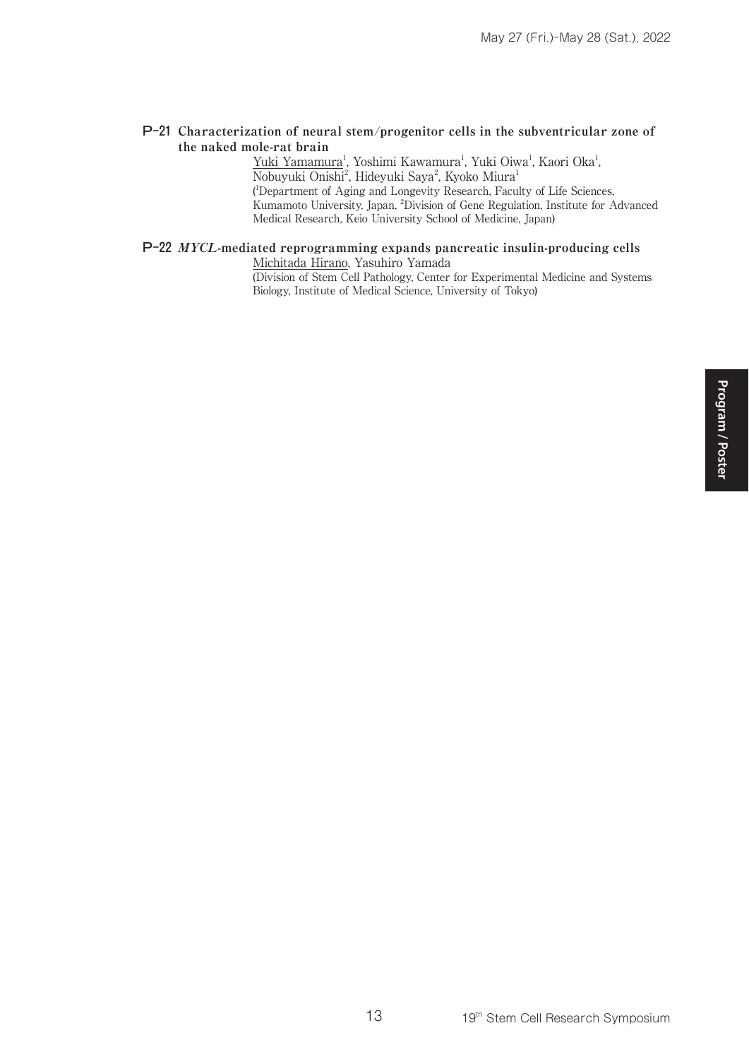#### P-21 **Characterization of neural stem/progenitor cells in the subventricular zone of the naked mole-rat brain**

Yuki Yamamura<sup>1</sup>, Yoshimi Kawamura<sup>1</sup>, Yuki Oiwa<sup>1</sup>, Kaori Oka<sup>1</sup>, Nobuyuki Onishi<sup>2</sup>, Hideyuki Saya<sup>2</sup>, Kyoko Miura<sup>1</sup> ( 1 Department of Aging and Longevity Research, Faculty of Life Sciences, Kumamoto University, Japan, 2 Division of Gene Regulation, Institute for Advanced Medical Research, Keio University School of Medicine, Japan)

#### P-22 **MYCL-mediated reprogramming expands pancreatic insulin-producing cells**

Michitada Hirano, Yasuhiro Yamada (Division of Stem Cell Pathology, Center for Experimental Medicine and Systems Biology, Institute of Medical Science, University of Tokyo)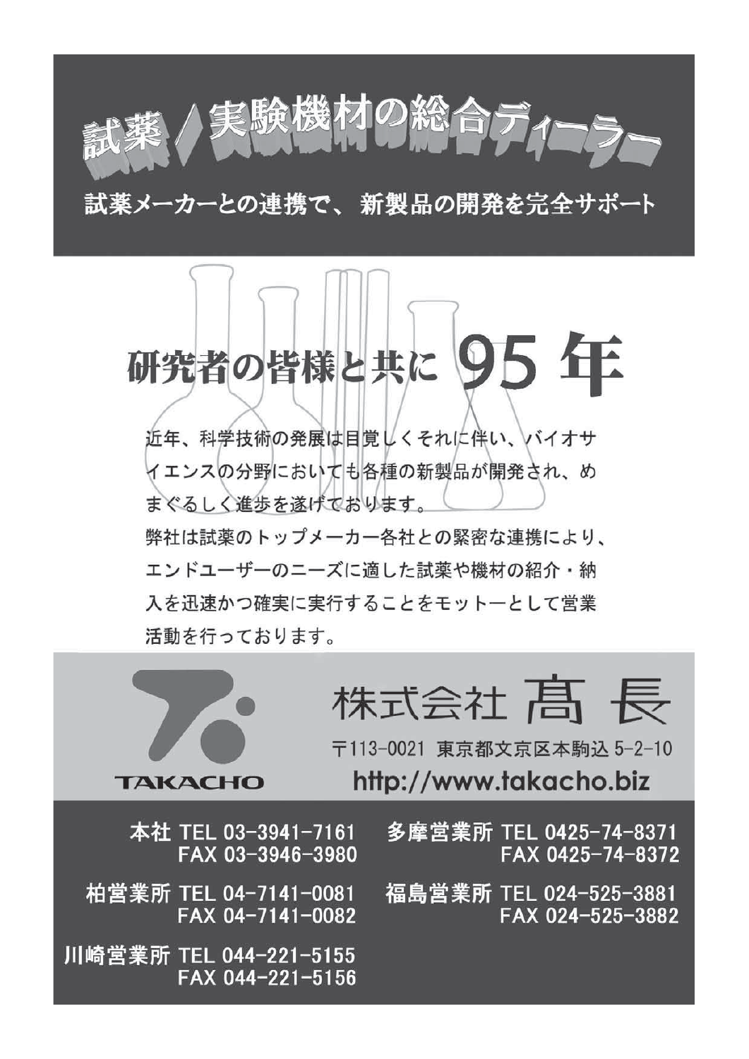試薬メーカーとの連携で、新製品の開発を完全サポート

尾験機材の総合ディ

# 研究者の皆様と共に

近年、科学技術の発展は目覚しくそれに伴い、バイオサ イエンスの分野においても各種の新製品が開発され、め まぐるしく進歩を遂げております。 弊社は試薬のトップメーカー各社との緊密な連携により、 エンドユーザーのニーズに適した試薬や機材の紹介・納 入を迅速かつ確実に実行することをモットーとして営業 活動を行っております。



〒113-0021 東京都文京区本駒込 5-2-10 http://www.takacho.biz

本社 TEL 03-3941-7161 FAX 03-3946-3980

柏営業所 TEL 04-7141-0081 FAX 04-7141-0082

**TAKACHO** 

川崎営業所 TEL 044-221-5155 FAX 044-221-5156 多摩営業所 TEL 0425-74-8371 FAX 0425-74-8372

福島営業所 TEL 024-525-3881 FAX 024-525-3882